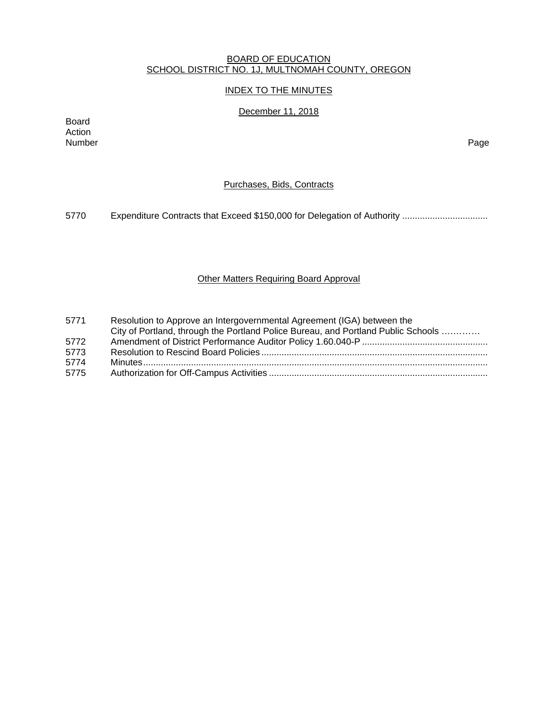#### BOARD OF EDUCATION SCHOOL DISTRICT NO. 1J, MULTNOMAH COUNTY, OREGON

## INDEX TO THE MINUTES

# December 11, 2018

Board Action Number Page

## Purchases, Bids, Contracts

5770 Expenditure Contracts that Exceed \$150,000 for Delegation of Authority .................................

# Other Matters Requiring Board Approval

| 5771 | Resolution to Approve an Intergovernmental Agreement (IGA) between the<br>City of Portland, through the Portland Police Bureau, and Portland Public Schools |
|------|-------------------------------------------------------------------------------------------------------------------------------------------------------------|
| 5772 |                                                                                                                                                             |
| 5773 |                                                                                                                                                             |
| 5774 |                                                                                                                                                             |
| 5775 |                                                                                                                                                             |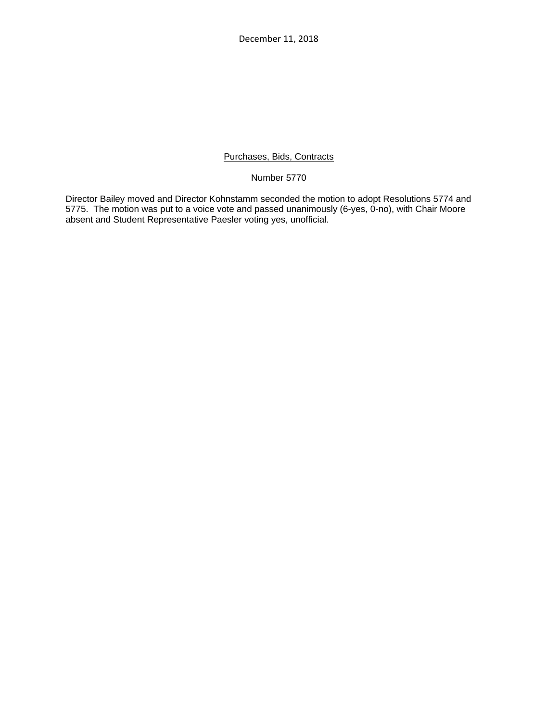December 11, 2018

## Purchases, Bids, Contracts

Number 5770

Director Bailey moved and Director Kohnstamm seconded the motion to adopt Resolutions 5774 and 5775. The motion was put to a voice vote and passed unanimously (6-yes, 0-no), with Chair Moore absent and Student Representative Paesler voting yes, unofficial.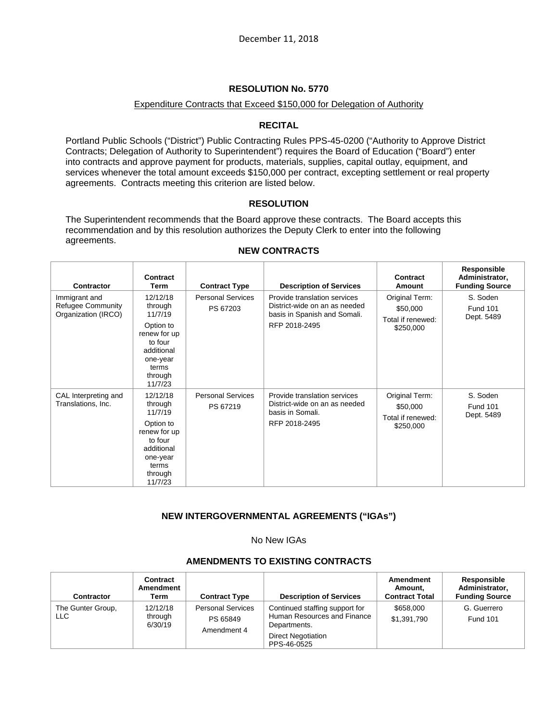## Expenditure Contracts that Exceed \$150,000 for Delegation of Authority

# **RECITAL**

Portland Public Schools ("District") Public Contracting Rules PPS-45-0200 ("Authority to Approve District Contracts; Delegation of Authority to Superintendent") requires the Board of Education ("Board") enter into contracts and approve payment for products, materials, supplies, capital outlay, equipment, and services whenever the total amount exceeds \$150,000 per contract, excepting settlement or real property agreements. Contracts meeting this criterion are listed below.

# **RESOLUTION**

The Superintendent recommends that the Board approve these contracts. The Board accepts this recommendation and by this resolution authorizes the Deputy Clerk to enter into the following agreements.

| Contractor                                                       | Contract<br>Term                                                                                                                | <b>Contract Type</b>                 | <b>Description of Services</b>                                                                                 | Contract<br>Amount                                           | Responsible<br>Administrator,<br><b>Funding Source</b> |
|------------------------------------------------------------------|---------------------------------------------------------------------------------------------------------------------------------|--------------------------------------|----------------------------------------------------------------------------------------------------------------|--------------------------------------------------------------|--------------------------------------------------------|
| Immigrant and<br><b>Refugee Community</b><br>Organization (IRCO) | 12/12/18<br>through<br>11/7/19<br>Option to<br>renew for up<br>to four<br>additional<br>one-year<br>terms<br>through<br>11/7/23 | <b>Personal Services</b><br>PS 67203 | Provide translation services<br>District-wide on an as needed<br>basis in Spanish and Somali.<br>RFP 2018-2495 | Original Term:<br>\$50,000<br>Total if renewed:<br>\$250,000 | S. Soden<br><b>Fund 101</b><br>Dept. 5489              |
| CAL Interpreting and<br>Translations, Inc.                       | 12/12/18<br>through<br>11/7/19<br>Option to<br>renew for up<br>to four<br>additional<br>one-year<br>terms<br>through<br>11/7/23 | <b>Personal Services</b><br>PS 67219 | Provide translation services<br>District-wide on an as needed<br>basis in Somali.<br>RFP 2018-2495             | Original Term:<br>\$50,000<br>Total if renewed:<br>\$250,000 | S. Soden<br><b>Fund 101</b><br>Dept. 5489              |

## **NEW CONTRACTS**

# **NEW INTERGOVERNMENTAL AGREEMENTS ("IGAs")**

No New IGAs

# **AMENDMENTS TO EXISTING CONTRACTS**

| <b>Contractor</b>         | Contract<br>Amendment<br>Term  | <b>Contract Type</b>                                | <b>Description of Services</b>                                                                                            | Amendment<br>Amount.<br><b>Contract Total</b> | Responsible<br>Administrator,<br><b>Funding Source</b> |
|---------------------------|--------------------------------|-----------------------------------------------------|---------------------------------------------------------------------------------------------------------------------------|-----------------------------------------------|--------------------------------------------------------|
| The Gunter Group,<br>LLC. | 12/12/18<br>through<br>6/30/19 | <b>Personal Services</b><br>PS 65849<br>Amendment 4 | Continued staffing support for<br>Human Resources and Finance<br>Departments.<br><b>Direct Negotiation</b><br>PPS-46-0525 | \$658,000<br>\$1,391,790                      | G. Guerrero<br><b>Fund 101</b>                         |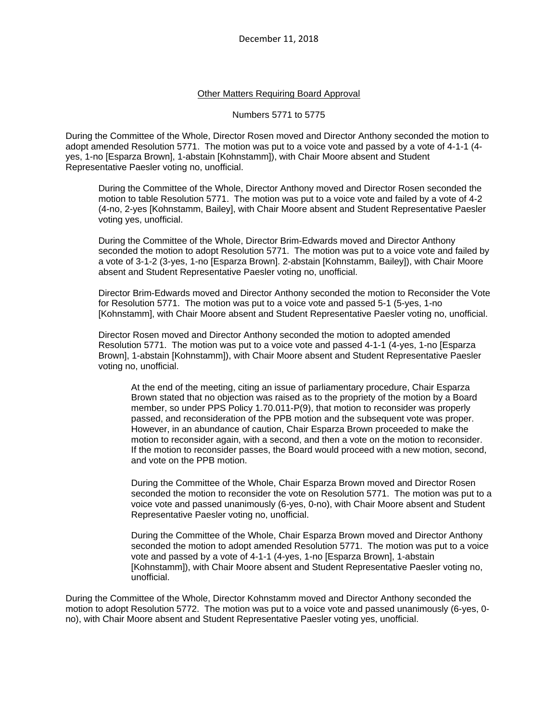#### Other Matters Requiring Board Approval

#### Numbers 5771 to 5775

During the Committee of the Whole, Director Rosen moved and Director Anthony seconded the motion to adopt amended Resolution 5771. The motion was put to a voice vote and passed by a vote of 4-1-1 (4 yes, 1-no [Esparza Brown], 1-abstain [Kohnstamm]), with Chair Moore absent and Student Representative Paesler voting no, unofficial.

During the Committee of the Whole, Director Anthony moved and Director Rosen seconded the motion to table Resolution 5771. The motion was put to a voice vote and failed by a vote of 4-2 (4-no, 2-yes [Kohnstamm, Bailey], with Chair Moore absent and Student Representative Paesler voting yes, unofficial.

During the Committee of the Whole, Director Brim-Edwards moved and Director Anthony seconded the motion to adopt Resolution 5771. The motion was put to a voice vote and failed by a vote of 3-1-2 (3-yes, 1-no [Esparza Brown]. 2-abstain [Kohnstamm, Bailey]), with Chair Moore absent and Student Representative Paesler voting no, unofficial.

Director Brim-Edwards moved and Director Anthony seconded the motion to Reconsider the Vote for Resolution 5771. The motion was put to a voice vote and passed 5-1 (5-yes, 1-no [Kohnstamm], with Chair Moore absent and Student Representative Paesler voting no, unofficial.

Director Rosen moved and Director Anthony seconded the motion to adopted amended Resolution 5771. The motion was put to a voice vote and passed 4-1-1 (4-yes, 1-no [Esparza Brown], 1-abstain [Kohnstamm]), with Chair Moore absent and Student Representative Paesler voting no, unofficial.

At the end of the meeting, citing an issue of parliamentary procedure, Chair Esparza Brown stated that no objection was raised as to the propriety of the motion by a Board member, so under PPS Policy 1.70.011-P(9), that motion to reconsider was properly passed, and reconsideration of the PPB motion and the subsequent vote was proper. However, in an abundance of caution, Chair Esparza Brown proceeded to make the motion to reconsider again, with a second, and then a vote on the motion to reconsider. If the motion to reconsider passes, the Board would proceed with a new motion, second, and vote on the PPB motion.

During the Committee of the Whole, Chair Esparza Brown moved and Director Rosen seconded the motion to reconsider the vote on Resolution 5771. The motion was put to a voice vote and passed unanimously (6-yes, 0-no), with Chair Moore absent and Student Representative Paesler voting no, unofficial.

During the Committee of the Whole, Chair Esparza Brown moved and Director Anthony seconded the motion to adopt amended Resolution 5771. The motion was put to a voice vote and passed by a vote of 4-1-1 (4-yes, 1-no [Esparza Brown], 1-abstain [Kohnstamm]), with Chair Moore absent and Student Representative Paesler voting no, unofficial.

During the Committee of the Whole, Director Kohnstamm moved and Director Anthony seconded the motion to adopt Resolution 5772. The motion was put to a voice vote and passed unanimously (6-yes, 0 no), with Chair Moore absent and Student Representative Paesler voting yes, unofficial.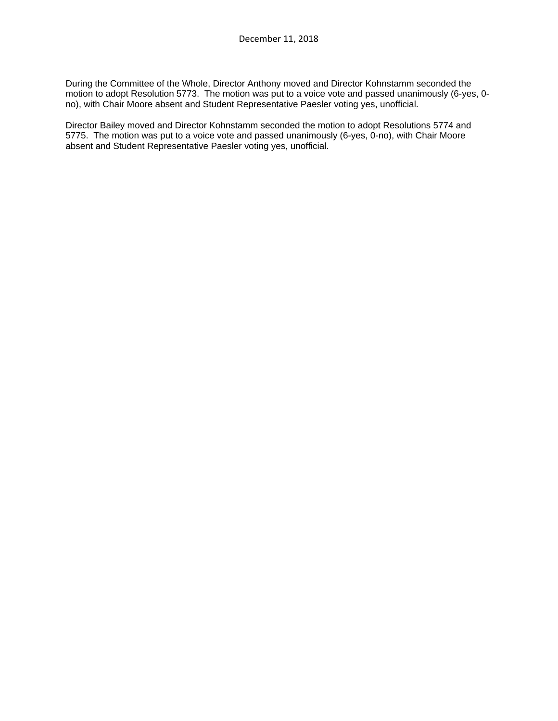During the Committee of the Whole, Director Anthony moved and Director Kohnstamm seconded the motion to adopt Resolution 5773. The motion was put to a voice vote and passed unanimously (6-yes, 0 no), with Chair Moore absent and Student Representative Paesler voting yes, unofficial.

Director Bailey moved and Director Kohnstamm seconded the motion to adopt Resolutions 5774 and 5775. The motion was put to a voice vote and passed unanimously (6-yes, 0-no), with Chair Moore absent and Student Representative Paesler voting yes, unofficial.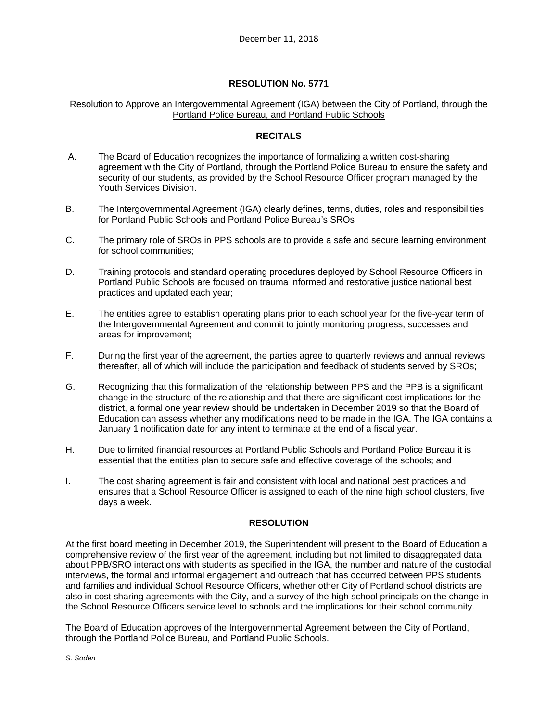## Resolution to Approve an Intergovernmental Agreement (IGA) between the City of Portland, through the Portland Police Bureau, and Portland Public Schools

## **RECITALS**

- A. The Board of Education recognizes the importance of formalizing a written cost-sharing agreement with the City of Portland, through the Portland Police Bureau to ensure the safety and security of our students, as provided by the School Resource Officer program managed by the Youth Services Division.
- B. The Intergovernmental Agreement (IGA) clearly defines, terms, duties, roles and responsibilities for Portland Public Schools and Portland Police Bureau's SROs
- C. The primary role of SROs in PPS schools are to provide a safe and secure learning environment for school communities;
- D. Training protocols and standard operating procedures deployed by School Resource Officers in Portland Public Schools are focused on trauma informed and restorative justice national best practices and updated each year;
- E. The entities agree to establish operating plans prior to each school year for the five-year term of the Intergovernmental Agreement and commit to jointly monitoring progress, successes and areas for improvement;
- F. During the first year of the agreement, the parties agree to quarterly reviews and annual reviews thereafter, all of which will include the participation and feedback of students served by SROs;
- G. Recognizing that this formalization of the relationship between PPS and the PPB is a significant change in the structure of the relationship and that there are significant cost implications for the district, a formal one year review should be undertaken in December 2019 so that the Board of Education can assess whether any modifications need to be made in the IGA. The IGA contains a January 1 notification date for any intent to terminate at the end of a fiscal year.
- H. Due to limited financial resources at Portland Public Schools and Portland Police Bureau it is essential that the entities plan to secure safe and effective coverage of the schools; and
- I. The cost sharing agreement is fair and consistent with local and national best practices and ensures that a School Resource Officer is assigned to each of the nine high school clusters, five days a week.

## **RESOLUTION**

At the first board meeting in December 2019, the Superintendent will present to the Board of Education a comprehensive review of the first year of the agreement, including but not limited to disaggregated data about PPB/SRO interactions with students as specified in the IGA, the number and nature of the custodial interviews, the formal and informal engagement and outreach that has occurred between PPS students and families and individual School Resource Officers, whether other City of Portland school districts are also in cost sharing agreements with the City, and a survey of the high school principals on the change in the School Resource Officers service level to schools and the implications for their school community.

The Board of Education approves of the Intergovernmental Agreement between the City of Portland, through the Portland Police Bureau, and Portland Public Schools.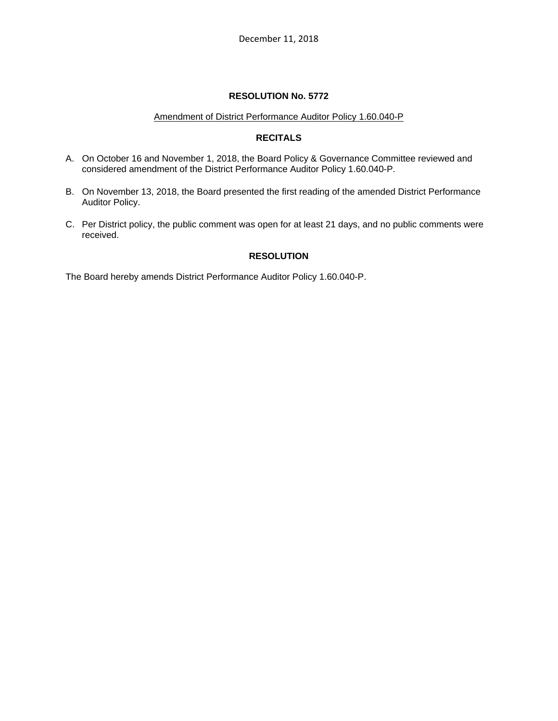#### Amendment of District Performance Auditor Policy 1.60.040-P

## **RECITALS**

- A. On October 16 and November 1, 2018, the Board Policy & Governance Committee reviewed and considered amendment of the District Performance Auditor Policy 1.60.040-P.
- B. On November 13, 2018, the Board presented the first reading of the amended District Performance Auditor Policy.
- C. Per District policy, the public comment was open for at least 21 days, and no public comments were received.

# **RESOLUTION**

The Board hereby amends District Performance Auditor Policy 1.60.040-P.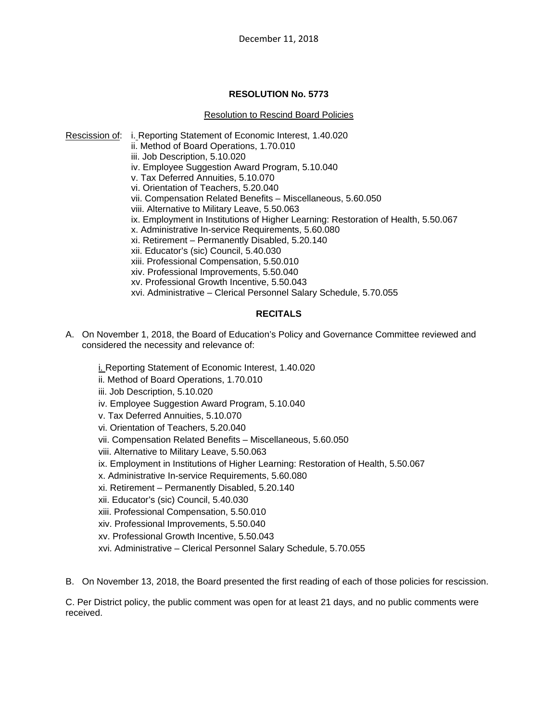## Resolution to Rescind Board Policies

Rescission of: i. Reporting Statement of Economic Interest, 1.40.020 ii. Method of Board Operations, 1.70.010 iii. Job Description, 5.10.020 iv. Employee Suggestion Award Program, 5.10.040 v. Tax Deferred Annuities, 5.10.070 vi. Orientation of Teachers, 5.20.040 vii. Compensation Related Benefits – Miscellaneous, 5.60.050 viii. Alternative to Military Leave, 5.50.063 ix. Employment in Institutions of Higher Learning: Restoration of Health, 5.50.067 x. Administrative In-service Requirements, 5.60.080 xi. Retirement – Permanently Disabled, 5.20.140 xii. Educator's (sic) Council, 5.40.030 xiii. Professional Compensation, 5.50.010 xiv. Professional Improvements, 5.50.040 xv. Professional Growth Incentive, 5.50.043 xvi. Administrative – Clerical Personnel Salary Schedule, 5.70.055

# **RECITALS**

A. On November 1, 2018, the Board of Education's Policy and Governance Committee reviewed and considered the necessity and relevance of:

i. Reporting Statement of Economic Interest, 1.40.020

- ii. Method of Board Operations, 1.70.010
- iii. Job Description, 5.10.020
- iv. Employee Suggestion Award Program, 5.10.040
- v. Tax Deferred Annuities, 5.10.070
- vi. Orientation of Teachers, 5.20.040
- vii. Compensation Related Benefits Miscellaneous, 5.60.050
- viii. Alternative to Military Leave, 5.50.063
- ix. Employment in Institutions of Higher Learning: Restoration of Health, 5.50.067
- x. Administrative In-service Requirements, 5.60.080
- xi. Retirement Permanently Disabled, 5.20.140
- xii. Educator's (sic) Council, 5.40.030
- xiii. Professional Compensation, 5.50.010
- xiv. Professional Improvements, 5.50.040
- xv. Professional Growth Incentive, 5.50.043
- xvi. Administrative Clerical Personnel Salary Schedule, 5.70.055

B. On November 13, 2018, the Board presented the first reading of each of those policies for rescission.

C. Per District policy, the public comment was open for at least 21 days, and no public comments were received.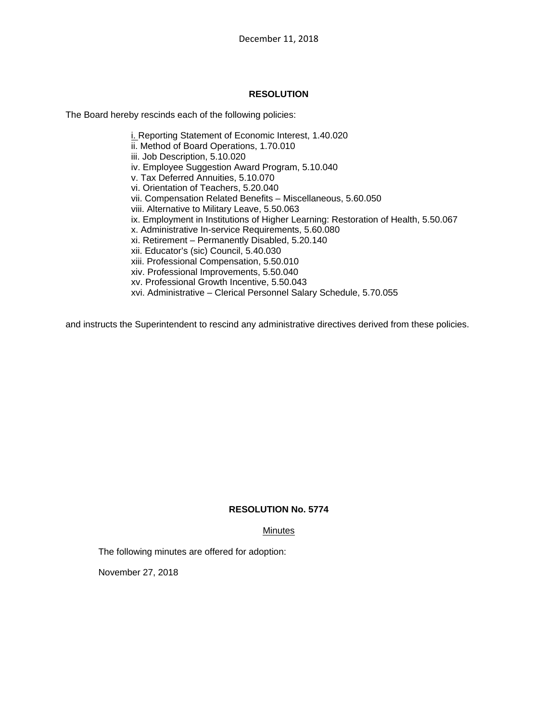## **RESOLUTION**

The Board hereby rescinds each of the following policies:

i. Reporting Statement of Economic Interest, 1.40.020 ii. Method of Board Operations, 1.70.010 iii. Job Description, 5.10.020 iv. Employee Suggestion Award Program, 5.10.040 v. Tax Deferred Annuities, 5.10.070 vi. Orientation of Teachers, 5.20.040 vii. Compensation Related Benefits – Miscellaneous, 5.60.050 viii. Alternative to Military Leave, 5.50.063 ix. Employment in Institutions of Higher Learning: Restoration of Health, 5.50.067 x. Administrative In-service Requirements, 5.60.080 xi. Retirement – Permanently Disabled, 5.20.140 xii. Educator's (sic) Council, 5.40.030 xiii. Professional Compensation, 5.50.010 xiv. Professional Improvements, 5.50.040 xv. Professional Growth Incentive, 5.50.043 xvi. Administrative – Clerical Personnel Salary Schedule, 5.70.055

and instructs the Superintendent to rescind any administrative directives derived from these policies.

## **RESOLUTION No. 5774**

#### **Minutes**

The following minutes are offered for adoption:

November 27, 2018